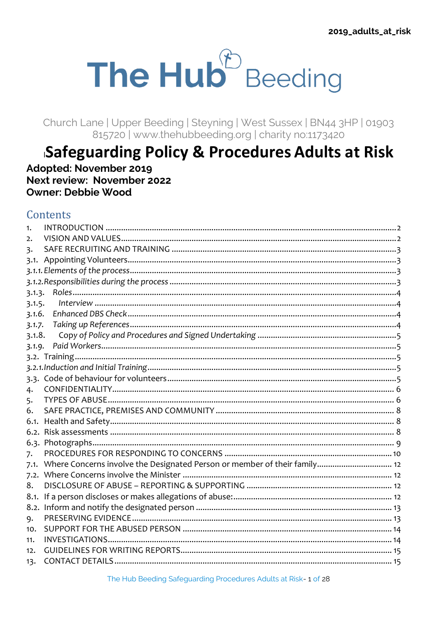# The Hub<sup>®</sup> Beeding

Church Lane | Upper Beeding | Steyning | West Sussex | BN44 3HP | 01903 815720 | www.thenubbeeding.org | charity no:1173420

# Safeguarding Policy & Procedures Adults at Risk

Adopted: November 2019 Next review: November 2022 Owner: Debbie Wood

# Contents

| 1.             |  |
|----------------|--|
| 2.             |  |
| $\overline{3}$ |  |
| 3.1.           |  |
|                |  |
|                |  |
| 3.1.3.         |  |
| 3.1.5.         |  |
| 3.1.6.         |  |
| 3.1.7.         |  |
| 3.1.8.         |  |
| 3.1.9.         |  |
|                |  |
|                |  |
|                |  |
| 4.             |  |
| 5.             |  |
| 6.             |  |
| 6.1.           |  |
| 6.2.           |  |
|                |  |
| 7.             |  |
| 7.1.           |  |
| 7.2.           |  |
| 8.             |  |
| 8.1.           |  |
|                |  |
| 9.             |  |
| 10.            |  |
| 11.            |  |
| 12.            |  |
| 13.            |  |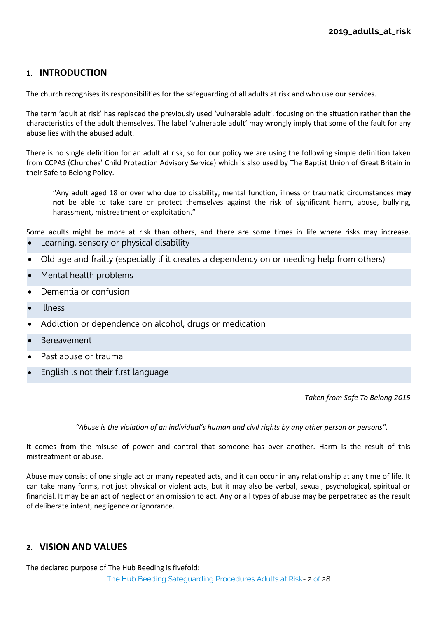# <span id="page-1-0"></span>**1. INTRODUCTION**

The church recognises its responsibilities for the safeguarding of all adults at risk and who use our services.

The term 'adult at risk' has replaced the previously used 'vulnerable adult', focusing on the situation rather than the characteristics of the adult themselves. The label 'vulnerable adult' may wrongly imply that some of the fault for any abuse lies with the abused adult.

There is no single definition for an adult at risk, so for our policy we are using the following simple definition taken from CCPAS (Churches' Child Protection Advisory Service) which is also used by The Baptist Union of Great Britain in their Safe to Belong Policy.

"Any adult aged 18 or over who due to disability, mental function, illness or traumatic circumstances **may not** be able to take care or protect themselves against the risk of significant harm, abuse, bullying, harassment, mistreatment or exploitation."

Some adults might be more at risk than others, and there are some times in life where risks may increase. • Learning, sensory or physical disability

- Old age and frailty (especially if it creates a dependency on or needing help from others)
- Mental health problems
- Dementia or confusion
- Illness
- Addiction or dependence on alcohol, drugs or medication
- **Bereavement**
- Past abuse or trauma
- English is not their first language

*Taken from Safe To Belong 2015*

*"Abuse is the violation of an individual's human and civil rights by any other person or persons".*

It comes from the misuse of power and control that someone has over another. Harm is the result of this mistreatment or abuse.

Abuse may consist of one single act or many repeated acts, and it can occur in any relationship at any time of life. It can take many forms, not just physical or violent acts, but it may also be verbal, sexual, psychological, spiritual or financial. It may be an act of neglect or an omission to act. Any or all types of abuse may be perpetrated as the result of deliberate intent, negligence or ignorance.

# <span id="page-1-1"></span>**2. VISION AND VALUES**

The Hub Beeding Safeguarding Procedures Adults at Risk- 2 of 28 The declared purpose of The Hub Beeding is fivefold: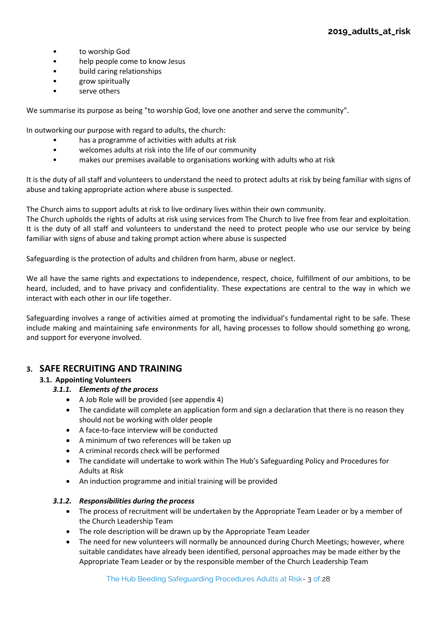- to worship God
- help people come to know Jesus
- build caring relationships
- grow spiritually
- serve others

We summarise its purpose as being "to worship God, love one another and serve the community".

In outworking our purpose with regard to adults, the church:

- has a programme of activities with adults at risk
- welcomes adults at risk into the life of our community
- makes our premises available to organisations working with adults who at risk

It is the duty of all staff and volunteers to understand the need to protect adults at risk by being familiar with signs of abuse and taking appropriate action where abuse is suspected.

The Church aims to support adults at risk to live ordinary lives within their own community.

The Church upholds the rights of adults at risk using services from The Church to live free from fear and exploitation. It is the duty of all staff and volunteers to understand the need to protect people who use our service by being familiar with signs of abuse and taking prompt action where abuse is suspected

Safeguarding is the protection of adults and children from harm, abuse or neglect.

We all have the same rights and expectations to independence, respect, choice, fulfillment of our ambitions, to be heard, included, and to have privacy and confidentiality. These expectations are central to the way in which we interact with each other in our life together.

Safeguarding involves a range of activities aimed at promoting the individual's fundamental right to be safe. These include making and maintaining safe environments for all, having processes to follow should something go wrong, and support for everyone involved.

# <span id="page-2-1"></span><span id="page-2-0"></span>**3. SAFE RECRUITING AND TRAINING**

# <span id="page-2-2"></span>**3.1. Appointing Volunteers**

- *3.1.1. Elements of the process*
	- A Job Role will be provided (see appendix 4)
	- The candidate will complete an application form and sign a declaration that there is no reason they should not be working with older people
	- A face-to-face interview will be conducted
	- A minimum of two references will be taken up
	- A criminal records check will be performed
	- The candidate will undertake to work within The Hub's Safeguarding Policy and Procedures for Adults at Risk
	- An induction programme and initial training will be provided

# <span id="page-2-3"></span>*3.1.2. Responsibilities during the process*

- The process of recruitment will be undertaken by the Appropriate Team Leader or by a member of the Church Leadership Team
- The role description will be drawn up by the Appropriate Team Leader
- The need for new volunteers will normally be announced during Church Meetings; however, where suitable candidates have already been identified, personal approaches may be made either by the Appropriate Team Leader or by the responsible member of the Church Leadership Team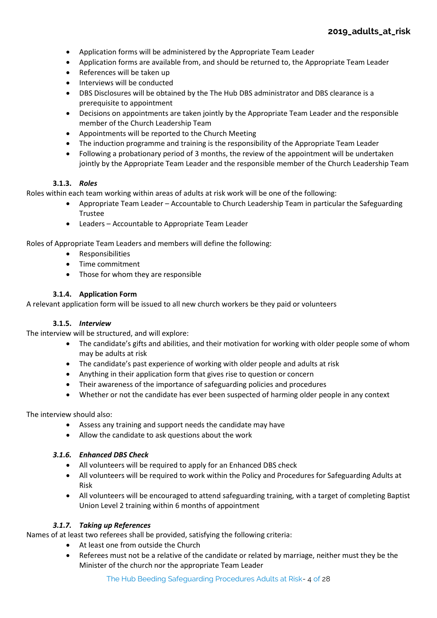- Application forms will be administered by the Appropriate Team Leader
- Application forms are available from, and should be returned to, the Appropriate Team Leader
- References will be taken up
- Interviews will be conducted
- DBS Disclosures will be obtained by the The Hub DBS administrator and DBS clearance is a prerequisite to appointment
- Decisions on appointments are taken jointly by the Appropriate Team Leader and the responsible member of the Church Leadership Team
- Appointments will be reported to the Church Meeting
- The induction programme and training is the responsibility of the Appropriate Team Leader
- Following a probationary period of 3 months, the review of the appointment will be undertaken jointly by the Appropriate Team Leader and the responsible member of the Church Leadership Team

# **3.1.3.** *Roles*

<span id="page-3-0"></span>Roles within each team working within areas of adults at risk work will be one of the following:

- Appropriate Team Leader Accountable to Church Leadership Team in particular the Safeguarding Trustee
- Leaders Accountable to Appropriate Team Leader

Roles of Appropriate Team Leaders and members will define the following:

- Responsibilities
- Time commitment
- Those for whom they are responsible

# **3.1.4. Application Form**

A relevant application form will be issued to all new church workers be they paid or volunteers

# **3.1.5.** *Interview*

<span id="page-3-1"></span>The interview will be structured, and will explore:

- The candidate's gifts and abilities, and their motivation for working with older people some of whom may be adults at risk
- The candidate's past experience of working with older people and adults at risk
- Anything in their application form that gives rise to question or concern
- Their awareness of the importance of safeguarding policies and procedures
- Whether or not the candidate has ever been suspected of harming older people in any context

# The interview should also:

- Assess any training and support needs the candidate may have
- Allow the candidate to ask questions about the work

# <span id="page-3-2"></span>*3.1.6. Enhanced DBS Check*

- All volunteers will be required to apply for an Enhanced DBS check
- All volunteers will be required to work within the Policy and Procedures for Safeguarding Adults at Risk
- All volunteers will be encouraged to attend safeguarding training, with a target of completing Baptist Union Level 2 training within 6 months of appointment

# *3.1.7. Taking up References*

<span id="page-3-3"></span>Names of at least two referees shall be provided, satisfying the following criteria:

- At least one from outside the Church
- Referees must not be a relative of the candidate or related by marriage, neither must they be the Minister of the church nor the appropriate Team Leader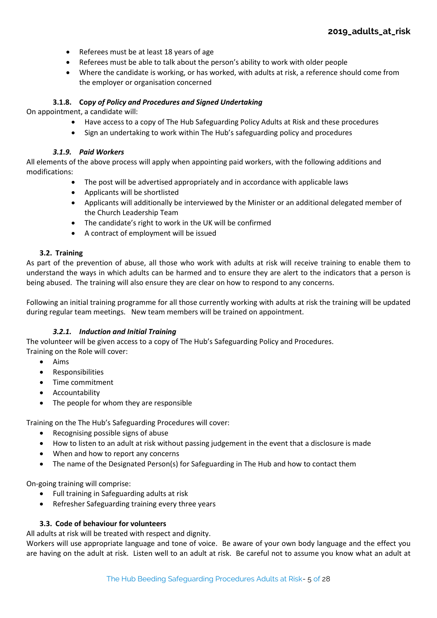- Referees must be at least 18 years of age
- Referees must be able to talk about the person's ability to work with older people
- Where the candidate is working, or has worked, with adults at risk, a reference should come from the employer or organisation concerned

# **3.1.8. Cop***y of Policy and Procedures and Signed Undertaking*

<span id="page-4-0"></span>On appointment, a candidate will:

- Have access to a copy of The Hub Safeguarding Policy Adults at Risk and these procedures
- Sign an undertaking to work within The Hub's safeguarding policy and procedures

# *3.1.9. Paid Workers*

<span id="page-4-1"></span>All elements of the above process will apply when appointing paid workers, with the following additions and modifications:

- The post will be advertised appropriately and in accordance with applicable laws
- Applicants will be shortlisted
- Applicants will additionally be interviewed by the Minister or an additional delegated member of the Church Leadership Team
- The candidate's right to work in the UK will be confirmed
- A contract of employment will be issued

# **3.2. Training**

<span id="page-4-2"></span>As part of the prevention of abuse, all those who work with adults at risk will receive training to enable them to understand the ways in which adults can be harmed and to ensure they are alert to the indicators that a person is being abused. The training will also ensure they are clear on how to respond to any concerns.

Following an initial training programme for all those currently working with adults at risk the training will be updated during regular team meetings. New team members will be trained on appointment.

# *3.2.1. Induction and Initial Training*

<span id="page-4-3"></span>The volunteer will be given access to a copy of The Hub's Safeguarding Policy and Procedures. Training on the Role will cover:

- Aims
- Responsibilities
- Time commitment
- Accountability
- The people for whom they are responsible

Training on the The Hub's Safeguarding Procedures will cover:

- Recognising possible signs of abuse
- How to listen to an adult at risk without passing judgement in the event that a disclosure is made
- When and how to report any concerns
- The name of the Designated Person(s) for Safeguarding in The Hub and how to contact them

On-going training will comprise:

- Full training in Safeguarding adults at risk
- Refresher Safeguarding training every three years

# **3.3. Code of behaviour for volunteers**

<span id="page-4-4"></span>All adults at risk will be treated with respect and dignity.

Workers will use appropriate language and tone of voice. Be aware of your own body language and the effect you are having on the adult at risk. Listen well to an adult at risk. Be careful not to assume you know what an adult at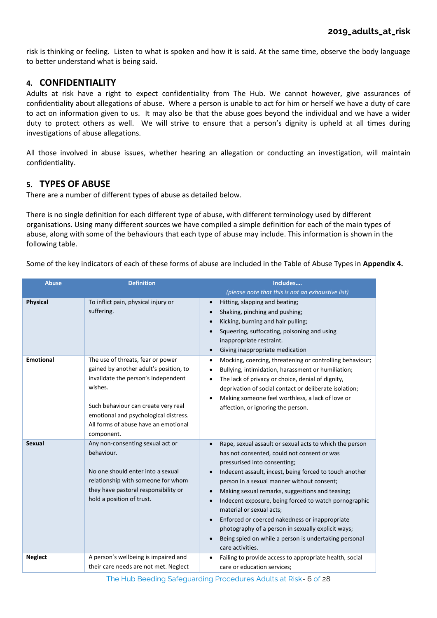risk is thinking or feeling. Listen to what is spoken and how it is said. At the same time, observe the body language to better understand what is being said.

# <span id="page-5-0"></span>**4. CONFIDENTIALITY**

Adults at risk have a right to expect confidentiality from The Hub. We cannot however, give assurances of confidentiality about allegations of abuse. Where a person is unable to act for him or herself we have a duty of care to act on information given to us. It may also be that the abuse goes beyond the individual and we have a wider duty to protect others as well. We will strive to ensure that a person's dignity is upheld at all times during investigations of abuse allegations.

All those involved in abuse issues, whether hearing an allegation or conducting an investigation, will maintain confidentiality.

# <span id="page-5-1"></span>**5. TYPES OF ABUSE**

There are a number of different types of abuse as detailed below.

There is no single definition for each different type of abuse, with different terminology used by different organisations. Using many different sources we have compiled a simple definition for each of the main types of abuse, along with some of the behaviours that each type of abuse may include. This information is shown in the following table.

Some of the key indicators of each of these forms of abuse are included in the Table of Abuse Types in **Appendix 4.**

| <b>Abuse</b>     | <b>Definition</b>                                                                                                                                                                                                                                                   | Includes                                                                                                                                                                                                                                                                                                                                                                                                                                                                                                                                                                                  |
|------------------|---------------------------------------------------------------------------------------------------------------------------------------------------------------------------------------------------------------------------------------------------------------------|-------------------------------------------------------------------------------------------------------------------------------------------------------------------------------------------------------------------------------------------------------------------------------------------------------------------------------------------------------------------------------------------------------------------------------------------------------------------------------------------------------------------------------------------------------------------------------------------|
|                  |                                                                                                                                                                                                                                                                     | (please note that this is not an exhaustive list)                                                                                                                                                                                                                                                                                                                                                                                                                                                                                                                                         |
| <b>Physical</b>  | To inflict pain, physical injury or<br>suffering.                                                                                                                                                                                                                   | Hitting, slapping and beating;<br>Shaking, pinching and pushing;<br>Kicking, burning and hair pulling;<br>Squeezing, suffocating, poisoning and using<br>inappropriate restraint.<br>Giving inappropriate medication                                                                                                                                                                                                                                                                                                                                                                      |
| <b>Emotional</b> | The use of threats, fear or power<br>gained by another adult's position, to<br>invalidate the person's independent<br>wishes.<br>Such behaviour can create very real<br>emotional and psychological distress.<br>All forms of abuse have an emotional<br>component. | Mocking, coercing, threatening or controlling behaviour;<br>$\bullet$<br>Bullying, intimidation, harassment or humiliation;<br>The lack of privacy or choice, denial of dignity,<br>deprivation of social contact or deliberate isolation;<br>Making someone feel worthless, a lack of love or<br>affection, or ignoring the person.                                                                                                                                                                                                                                                      |
| <b>Sexual</b>    | Any non-consenting sexual act or<br>behaviour.<br>No one should enter into a sexual<br>relationship with someone for whom<br>they have pastoral responsibility or<br>hold a position of trust.                                                                      | Rape, sexual assault or sexual acts to which the person<br>has not consented, could not consent or was<br>pressurised into consenting;<br>Indecent assault, incest, being forced to touch another<br>person in a sexual manner without consent;<br>Making sexual remarks, suggestions and teasing;<br>Indecent exposure, being forced to watch pornographic<br>material or sexual acts;<br>Enforced or coerced nakedness or inappropriate<br>$\bullet$<br>photography of a person in sexually explicit ways;<br>Being spied on while a person is undertaking personal<br>care activities. |
| <b>Neglect</b>   | A person's wellbeing is impaired and<br>their care needs are not met. Neglect                                                                                                                                                                                       | Failing to provide access to appropriate health, social<br>care or education services:                                                                                                                                                                                                                                                                                                                                                                                                                                                                                                    |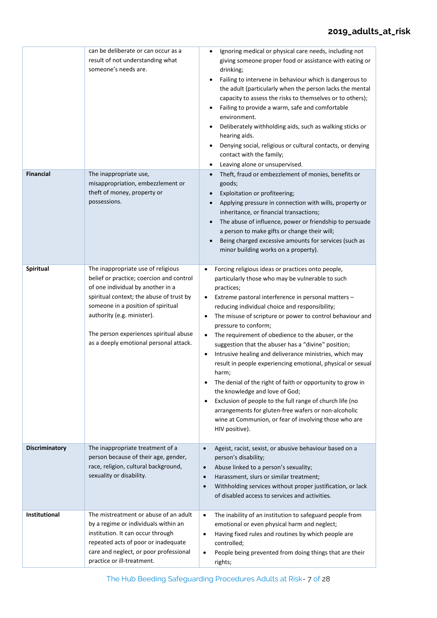|                  | can be deliberate or can occur as a<br>result of not understanding what<br>someone's needs are.                                                                                                                                                                                                                         | Ignoring medical or physical care needs, including not<br>giving someone proper food or assistance with eating or<br>drinking;<br>Failing to intervene in behaviour which is dangerous to<br>the adult (particularly when the person lacks the mental<br>capacity to assess the risks to themselves or to others);<br>Failing to provide a warm, safe and comfortable<br>environment.<br>Deliberately withholding aids, such as walking sticks or<br>hearing aids.<br>Denying social, religious or cultural contacts, or denying<br>contact with the family;<br>Leaving alone or unsupervised.                                                                                                                                                                                                                                                                                                                                              |
|------------------|-------------------------------------------------------------------------------------------------------------------------------------------------------------------------------------------------------------------------------------------------------------------------------------------------------------------------|---------------------------------------------------------------------------------------------------------------------------------------------------------------------------------------------------------------------------------------------------------------------------------------------------------------------------------------------------------------------------------------------------------------------------------------------------------------------------------------------------------------------------------------------------------------------------------------------------------------------------------------------------------------------------------------------------------------------------------------------------------------------------------------------------------------------------------------------------------------------------------------------------------------------------------------------|
| <b>Financial</b> | The inappropriate use,<br>misappropriation, embezzlement or<br>theft of money, property or<br>possessions.                                                                                                                                                                                                              | Theft, fraud or embezzlement of monies, benefits or<br>goods;<br>Exploitation or profiteering;<br>Applying pressure in connection with wills, property or<br>inheritance, or financial transactions;<br>The abuse of influence, power or friendship to persuade<br>a person to make gifts or change their will;<br>Being charged excessive amounts for services (such as<br>minor building works on a property).                                                                                                                                                                                                                                                                                                                                                                                                                                                                                                                            |
| Spiritual        | The inappropriate use of religious<br>belief or practice; coercion and control<br>of one individual by another in a<br>spiritual context; the abuse of trust by<br>someone in a position of spiritual<br>authority (e.g. minister).<br>The person experiences spiritual abuse<br>as a deeply emotional personal attack. | Forcing religious ideas or practices onto people,<br>$\bullet$<br>particularly those who may be vulnerable to such<br>practices;<br>Extreme pastoral interference in personal matters -<br>$\bullet$<br>reducing individual choice and responsibility;<br>The misuse of scripture or power to control behaviour and<br>٠<br>pressure to conform;<br>The requirement of obedience to the abuser, or the<br>$\bullet$<br>suggestion that the abuser has a "divine" position;<br>Intrusive healing and deliverance ministries, which may<br>$\bullet$<br>result in people experiencing emotional, physical or sexual<br>harm;<br>The denial of the right of faith or opportunity to grow in<br>٠<br>the knowledge and love of God;<br>Exclusion of people to the full range of church life (no<br>$\bullet$<br>arrangements for gluten-free wafers or non-alcoholic<br>wine at Communion, or fear of involving those who are<br>HIV positive). |
| Discriminatory   | The inappropriate treatment of a<br>person because of their age, gender,<br>race, religion, cultural background,<br>sexuality or disability.                                                                                                                                                                            | Ageist, racist, sexist, or abusive behaviour based on a<br>$\bullet$<br>person's disability;<br>Abuse linked to a person's sexuality;<br>$\bullet$<br>Harassment, slurs or similar treatment;<br>$\bullet$<br>Withholding services without proper justification, or lack<br>$\bullet$<br>of disabled access to services and activities.                                                                                                                                                                                                                                                                                                                                                                                                                                                                                                                                                                                                     |
| Institutional    | The mistreatment or abuse of an adult<br>by a regime or individuals within an<br>institution. It can occur through<br>repeated acts of poor or inadequate<br>care and neglect, or poor professional<br>practice or ill-treatment.                                                                                       | The inability of an institution to safeguard people from<br>$\bullet$<br>emotional or even physical harm and neglect;<br>Having fixed rules and routines by which people are<br>$\bullet$<br>controlled;<br>People being prevented from doing things that are their<br>$\bullet$<br>rights;                                                                                                                                                                                                                                                                                                                                                                                                                                                                                                                                                                                                                                                 |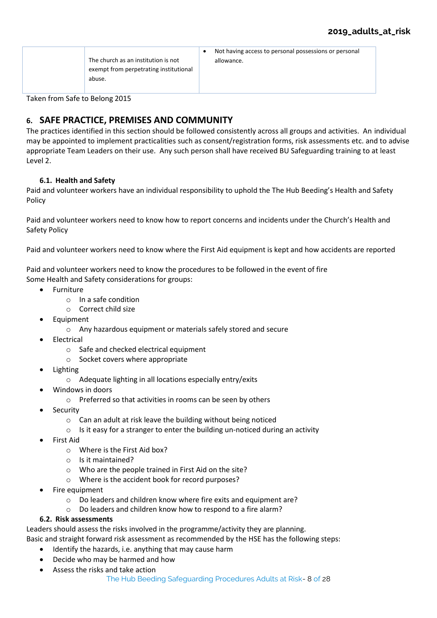|                                        | Not having access to personal possessions or personal |
|----------------------------------------|-------------------------------------------------------|
| The church as an institution is not    | allowance.                                            |
| exempt from perpetrating institutional |                                                       |
| abuse.                                 |                                                       |
|                                        |                                                       |

Taken from Safe to Belong 2015

# <span id="page-7-0"></span>**6. SAFE PRACTICE, PREMISES AND COMMUNITY**

The practices identified in this section should be followed consistently across all groups and activities. An individual may be appointed to implement practicalities such as consent/registration forms, risk assessments etc. and to advise appropriate Team Leaders on their use. Any such person shall have received BU Safeguarding training to at least Level 2.

# **6.1. Health and Safety**

<span id="page-7-1"></span>Paid and volunteer workers have an individual responsibility to uphold the The Hub Beeding's Health and Safety Policy

Paid and volunteer workers need to know how to report concerns and incidents under the Church's Health and Safety Policy

Paid and volunteer workers need to know where the First Aid equipment is kept and how accidents are reported

Paid and volunteer workers need to know the procedures to be followed in the event of fire Some Health and Safety considerations for groups:

- Furniture
	- o In a safe condition
	- o Correct child size
- Equipment
	- o Any hazardous equipment or materials safely stored and secure
- **Electrical** 
	- o Safe and checked electrical equipment
	- o Socket covers where appropriate
- Lighting
	- o Adequate lighting in all locations especially entry/exits
- Windows in doors
	- o Preferred so that activities in rooms can be seen by others
- **Security** 
	- o Can an adult at risk leave the building without being noticed
	- $\circ$  Is it easy for a stranger to enter the building un-noticed during an activity
- First Aid
	- o Where is the First Aid box?
	- o Is it maintained?
	- o Who are the people trained in First Aid on the site?
	- o Where is the accident book for record purposes?
- Fire equipment
	- o Do leaders and children know where fire exits and equipment are?
	- o Do leaders and children know how to respond to a fire alarm?

# <span id="page-7-2"></span>**6.2. Risk assessments**

Leaders should assess the risks involved in the programme/activity they are planning.

- Basic and straight forward risk assessment as recommended by the HSE has the following steps:
	- Identify the hazards, i.e. anything that may cause harm
	- Decide who may be harmed and how
	- Assess the risks and take action
		- The Hub Beeding Safeguarding Procedures Adults at Risk- 8 of 28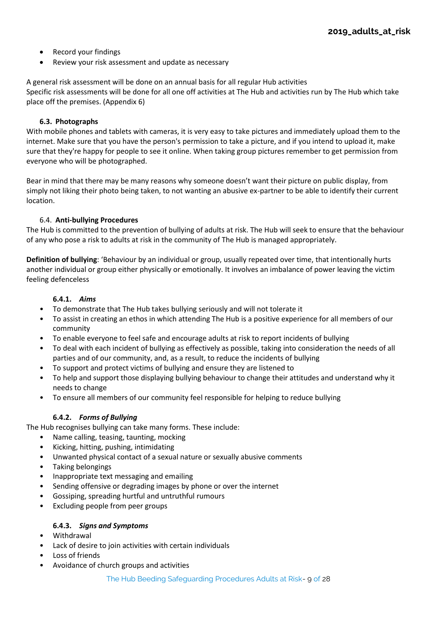- Record your findings
- Review your risk assessment and update as necessary

A general risk assessment will be done on an annual basis for all regular Hub activities Specific risk assessments will be done for all one off activities at The Hub and activities run by The Hub which take place off the premises. (Appendix 6)

# **6.3. Photographs**

<span id="page-8-0"></span>With mobile phones and tablets with cameras, it is very easy to take pictures and immediately upload them to the internet. Make sure that you have the person's permission to take a picture, and if you intend to upload it, make sure that they're happy for people to see it online. When taking group pictures remember to get permission from everyone who will be photographed.

Bear in mind that there may be many reasons why someone doesn't want their picture on public display, from simply not liking their photo being taken, to not wanting an abusive ex-partner to be able to identify their current location.

# 6.4. **Anti-bullying Procedures**

The Hub is committed to the prevention of bullying of adults at risk. The Hub will seek to ensure that the behaviour of any who pose a risk to adults at risk in the community of The Hub is managed appropriately.

**Definition of bullying**: 'Behaviour by an individual or group, usually repeated over time, that intentionally hurts another individual or group either physically or emotionally. It involves an imbalance of power leaving the victim feeling defenceless

# **6.4.1.** *Aims*

- To demonstrate that The Hub takes bullying seriously and will not tolerate it
- To assist in creating an ethos in which attending The Hub is a positive experience for all members of our community
- To enable everyone to feel safe and encourage adults at risk to report incidents of bullying
- To deal with each incident of bullying as effectively as possible, taking into consideration the needs of all parties and of our community, and, as a result, to reduce the incidents of bullying
- To support and protect victims of bullying and ensure they are listened to
- To help and support those displaying bullying behaviour to change their attitudes and understand why it needs to change
- To ensure all members of our community feel responsible for helping to reduce bullying

# **6.4.2.** *Forms of Bullying*

The Hub recognises bullying can take many forms. These include:

- Name calling, teasing, taunting, mocking
- Kicking, hitting, pushing, intimidating
- Unwanted physical contact of a sexual nature or sexually abusive comments
- Taking belongings
- Inappropriate text messaging and emailing
- Sending offensive or degrading images by phone or over the internet
- Gossiping, spreading hurtful and untruthful rumours
- Excluding people from peer groups

# **6.4.3.** *Signs and Symptoms*

- Withdrawal
- Lack of desire to join activities with certain individuals
- Loss of friends
- Avoidance of church groups and activities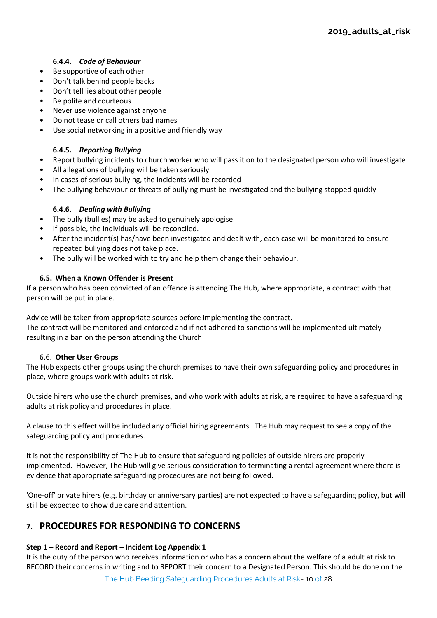# **6.4.4.** *Code of Behaviour*

- Be supportive of each other
- Don't talk behind people backs
- Don't tell lies about other people
- Be polite and courteous
- Never use violence against anyone
- Do not tease or call others bad names
- Use social networking in a positive and friendly way

# **6.4.5.** *Reporting Bullying*

- Report bullying incidents to church worker who will pass it on to the designated person who will investigate
- All allegations of bullying will be taken seriously
- In cases of serious bullying, the incidents will be recorded
- The bullying behaviour or threats of bullying must be investigated and the bullying stopped quickly

# **6.4.6.** *Dealing with Bullying*

- The bully (bullies) may be asked to genuinely apologise.
- If possible, the individuals will be reconciled.
- After the incident(s) has/have been investigated and dealt with, each case will be monitored to ensure repeated bullying does not take place.
- The bully will be worked with to try and help them change their behaviour.

# **6.5. When a Known Offender is Present**

If a person who has been convicted of an offence is attending The Hub, where appropriate, a contract with that person will be put in place.

Advice will be taken from appropriate sources before implementing the contract.

The contract will be monitored and enforced and if not adhered to sanctions will be implemented ultimately resulting in a ban on the person attending the Church

# 6.6. **Other User Groups**

The Hub expects other groups using the church premises to have their own safeguarding policy and procedures in place, where groups work with adults at risk.

Outside hirers who use the church premises, and who work with adults at risk, are required to have a safeguarding adults at risk policy and procedures in place.

A clause to this effect will be included any official hiring agreements. The Hub may request to see a copy of the safeguarding policy and procedures.

It is not the responsibility of The Hub to ensure that safeguarding policies of outside hirers are properly implemented. However, The Hub will give serious consideration to terminating a rental agreement where there is evidence that appropriate safeguarding procedures are not being followed.

'One-off' private hirers (e.g. birthday or anniversary parties) are not expected to have a safeguarding policy, but will still be expected to show due care and attention.

# <span id="page-9-0"></span>**7. PROCEDURES FOR RESPONDING TO CONCERNS**

# **Step 1 – Record and Report – Incident Log Appendix 1**

It is the duty of the person who receives information or who has a concern about the welfare of a adult at risk to RECORD their concerns in writing and to REPORT their concern to a Designated Person. This should be done on the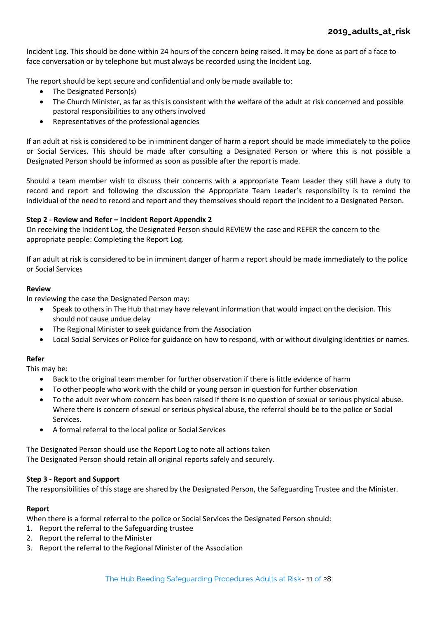Incident Log. This should be done within 24 hours of the concern being raised. It may be done as part of a face to face conversation or by telephone but must always be recorded using the Incident Log.

The report should be kept secure and confidential and only be made available to:

- The Designated Person(s)
- The Church Minister, as far as this is consistent with the welfare of the adult at risk concerned and possible pastoral responsibilities to any others involved
- Representatives of the professional agencies

If an adult at risk is considered to be in imminent danger of harm a report should be made immediately to the police or Social Services. This should be made after consulting a Designated Person or where this is not possible a Designated Person should be informed as soon as possible after the report is made.

Should a team member wish to discuss their concerns with a appropriate Team Leader they still have a duty to record and report and following the discussion the Appropriate Team Leader's responsibility is to remind the individual of the need to record and report and they themselves should report the incident to a Designated Person.

# **Step 2 - Review and Refer – Incident Report Appendix 2**

On receiving the Incident Log, the Designated Person should REVIEW the case and REFER the concern to the appropriate people: Completing the Report Log.

If an adult at risk is considered to be in imminent danger of harm a report should be made immediately to the police or Social Services

# **Review**

In reviewing the case the Designated Person may:

- Speak to others in The Hub that may have relevant information that would impact on the decision. This should not cause undue delay
- The Regional Minister to seek guidance from the Association
- Local Social Services or Police for guidance on how to respond, with or without divulging identities or names.

# **Refer**

This may be:

- Back to the original team member for further observation if there is little evidence of harm
- To other people who work with the child or young person in question for further observation
- To the adult over whom concern has been raised if there is no question of sexual or serious physical abuse. Where there is concern of sexual or serious physical abuse, the referral should be to the police or Social Services.
- A formal referral to the local police or Social Services

The Designated Person should use the Report Log to note all actions taken The Designated Person should retain all original reports safely and securely.

# **Step 3 - Report and Support**

The responsibilities of this stage are shared by the Designated Person, the Safeguarding Trustee and the Minister.

# **Report**

When there is a formal referral to the police or Social Services the Designated Person should:

- 1. Report the referral to the Safeguarding trustee
- 2. Report the referral to the Minister
- 3. Report the referral to the Regional Minister of the Association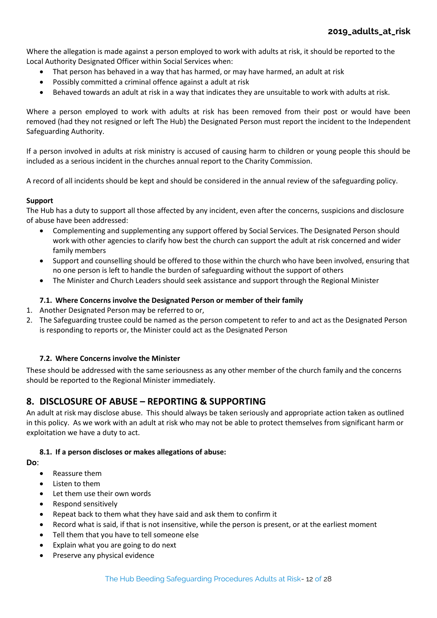Where the allegation is made against a person employed to work with adults at risk, it should be reported to the Local Authority Designated Officer within Social Services when:

- That person has behaved in a way that has harmed, or may have harmed, an adult at risk
- Possibly committed a criminal offence against a adult at risk
- Behaved towards an adult at risk in a way that indicates they are unsuitable to work with adults at risk.

Where a person employed to work with adults at risk has been removed from their post or would have been removed (had they not resigned or left The Hub) the Designated Person must report the incident to the Independent Safeguarding Authority.

If a person involved in adults at risk ministry is accused of causing harm to children or young people this should be included as a serious incident in the churches annual report to the Charity Commission.

A record of all incidents should be kept and should be considered in the annual review of the safeguarding policy.

# **Support**

The Hub has a duty to support all those affected by any incident, even after the concerns, suspicions and disclosure of abuse have been addressed:

- Complementing and supplementing any support offered by Social Services. The Designated Person should work with other agencies to clarify how best the church can support the adult at risk concerned and wider family members
- Support and counselling should be offered to those within the church who have been involved, ensuring that no one person is left to handle the burden of safeguarding without the support of others
- The Minister and Church Leaders should seek assistance and support through the Regional Minister

# <span id="page-11-0"></span>**7.1. Where Concerns involve the Designated Person or member of their family**

- 1. Another Designated Person may be referred to or,
- 2. The Safeguarding trustee could be named as the person competent to refer to and act as the Designated Person is responding to reports or, the Minister could act as the Designated Person

# <span id="page-11-1"></span>**7.2. Where Concerns involve the Minister**

These should be addressed with the same seriousness as any other member of the church family and the concerns should be reported to the Regional Minister immediately.

# <span id="page-11-2"></span>**8. DISCLOSURE OF ABUSE – REPORTING & SUPPORTING**

An adult at risk may disclose abuse. This should always be taken seriously and appropriate action taken as outlined in this policy. As we work with an adult at risk who may not be able to protect themselves from significant harm or exploitation we have a duty to act.

# **8.1. If a person discloses or makes allegations of abuse:**

<span id="page-11-3"></span>**Do**:

- Reassure them
- Listen to them
- Let them use their own words
- Respond sensitively
- Repeat back to them what they have said and ask them to confirm it
- Record what is said, if that is not insensitive, while the person is present, or at the earliest moment
- Tell them that you have to tell someone else
- Explain what you are going to do next
- Preserve any physical evidence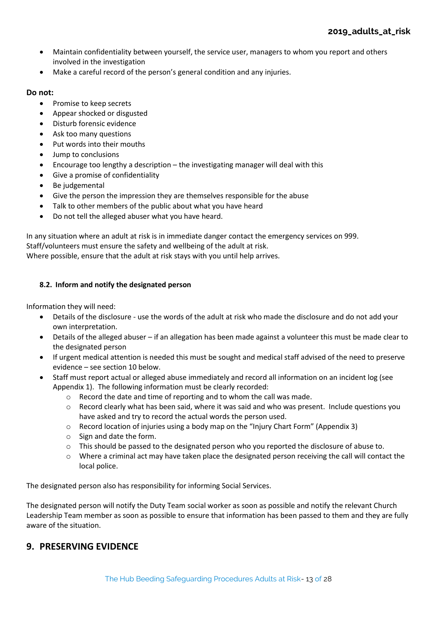- Maintain confidentiality between yourself, the service user, managers to whom you report and others involved in the investigation
- Make a careful record of the person's general condition and any injuries.

# **Do not:**

- Promise to keep secrets
- Appear shocked or disgusted
- Disturb forensic evidence
- Ask too many questions
- Put words into their mouths
- Jump to conclusions
- Encourage too lengthy a description the investigating manager will deal with this
- Give a promise of confidentiality
- Be judgemental
- Give the person the impression they are themselves responsible for the abuse
- Talk to other members of the public about what you have heard
- Do not tell the alleged abuser what you have heard.

In any situation where an adult at risk is in immediate danger contact the emergency services on 999. Staff/volunteers must ensure the safety and wellbeing of the adult at risk. Where possible, ensure that the adult at risk stays with you until help arrives.

# <span id="page-12-0"></span>**8.2. Inform and notify the designated person**

Information they will need:

- Details of the disclosure use the words of the adult at risk who made the disclosure and do not add your own interpretation.
- Details of the alleged abuser if an allegation has been made against a volunteer this must be made clear to the designated person
- If urgent medical attention is needed this must be sought and medical staff advised of the need to preserve evidence – see section 10 below.
- Staff must report actual or alleged abuse immediately and record all information on an incident log (see Appendix 1). The following information must be clearly recorded:
	- o Record the date and time of reporting and to whom the call was made.
	- $\circ$  Record clearly what has been said, where it was said and who was present. Include questions you have asked and try to record the actual words the person used.
	- o Record location of injuries using a body map on the "Injury Chart Form" (Appendix 3)
	- o Sign and date the form.
	- $\circ$  This should be passed to the designated person who you reported the disclosure of abuse to.
	- $\circ$  Where a criminal act may have taken place the designated person receiving the call will contact the local police.

The designated person also has responsibility for informing Social Services.

The designated person will notify the Duty Team social worker as soon as possible and notify the relevant Church Leadership Team member as soon as possible to ensure that information has been passed to them and they are fully aware of the situation.

# <span id="page-12-1"></span>**9. PRESERVING EVIDENCE**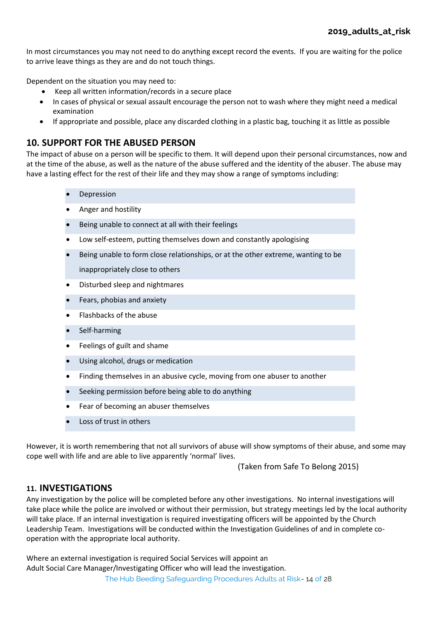In most circumstances you may not need to do anything except record the events. If you are waiting for the police to arrive leave things as they are and do not touch things.

Dependent on the situation you may need to:

- Keep all written information/records in a secure place
- In cases of physical or sexual assault encourage the person not to wash where they might need a medical examination
- If appropriate and possible, place any discarded clothing in a plastic bag, touching it as little as possible

# <span id="page-13-0"></span>**10. SUPPORT FOR THE ABUSED PERSON**

The impact of abuse on a person will be specific to them. It will depend upon their personal circumstances, now and at the time of the abuse, as well as the nature of the abuse suffered and the identity of the abuser. The abuse may have a lasting effect for the rest of their life and they may show a range of symptoms including:

- **Depression**
- Anger and hostility
- Being unable to connect at all with their feelings
- Low self-esteem, putting themselves down and constantly apologising
- Being unable to form close relationships, or at the other extreme, wanting to be

inappropriately close to others

- Disturbed sleep and nightmares
- Fears, phobias and anxiety
- Flashbacks of the abuse
- Self-harming
- Feelings of guilt and shame
- Using alcohol, drugs or medication
- Finding themselves in an abusive cycle, moving from one abuser to another
- Seeking permission before being able to do anything
- Fear of becoming an abuser themselves
- Loss of trust in others

However, it is worth remembering that not all survivors of abuse will show symptoms of their abuse, and some may cope well with life and are able to live apparently 'normal' lives.

(Taken from Safe To Belong 2015)

# <span id="page-13-1"></span>**11. INVESTIGATIONS**

Any investigation by the police will be completed before any other investigations. No internal investigations will take place while the police are involved or without their permission, but strategy meetings led by the local authority will take place. If an internal investigation is required investigating officers will be appointed by the Church Leadership Team. Investigations will be conducted within the Investigation Guidelines of and in complete cooperation with the appropriate local authority.

Where an external investigation is required Social Services will appoint an Adult Social Care Manager/Investigating Officer who will lead the investigation.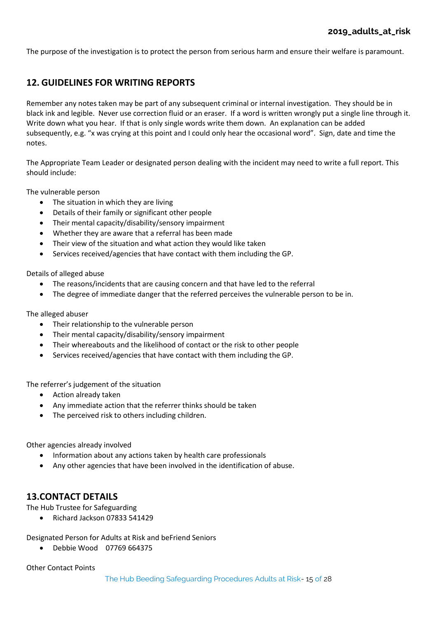The purpose of the investigation is to protect the person from serious harm and ensure their welfare is paramount.

# <span id="page-14-0"></span>**12. GUIDELINES FOR WRITING REPORTS**

Remember any notes taken may be part of any subsequent criminal or internal investigation. They should be in black ink and legible. Never use correction fluid or an eraser. If a word is written wrongly put a single line through it. Write down what you hear. If that is only single words write them down. An explanation can be added subsequently, e.g. "x was crying at this point and I could only hear the occasional word". Sign, date and time the notes.

The Appropriate Team Leader or designated person dealing with the incident may need to write a full report. This should include:

The vulnerable person

- The situation in which they are living
- Details of their family or significant other people
- Their mental capacity/disability/sensory impairment
- Whether they are aware that a referral has been made
- Their view of the situation and what action they would like taken
- Services received/agencies that have contact with them including the GP.

Details of alleged abuse

- The reasons/incidents that are causing concern and that have led to the referral
- The degree of immediate danger that the referred perceives the vulnerable person to be in.

The alleged abuser

- Their relationship to the vulnerable person
- Their mental capacity/disability/sensory impairment
- Their whereabouts and the likelihood of contact or the risk to other people
- Services received/agencies that have contact with them including the GP.

The referrer's judgement of the situation

- Action already taken
- Any immediate action that the referrer thinks should be taken
- The perceived risk to others including children.

Other agencies already involved

- Information about any actions taken by health care professionals
- Any other agencies that have been involved in the identification of abuse.

# <span id="page-14-1"></span>**13.CONTACT DETAILS**

The Hub Trustee for Safeguarding

• Richard Jackson 07833 541429

Designated Person for Adults at Risk and beFriend Seniors

• Debbie Wood 07769 664375

Other Contact Points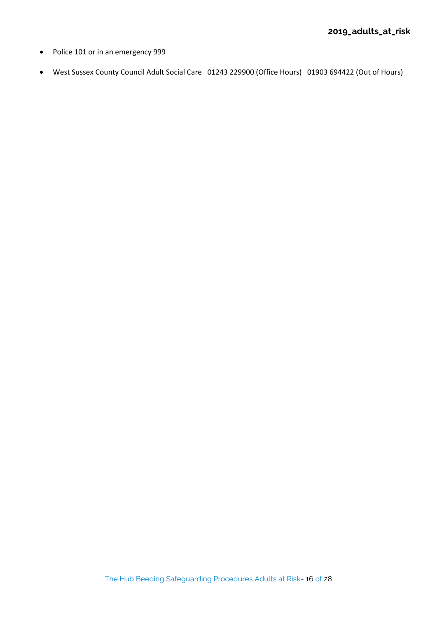- Police 101 or in an emergency 999
- West Sussex County Council Adult Social Care 01243 229900 (Office Hours) 01903 694422 (Out of Hours)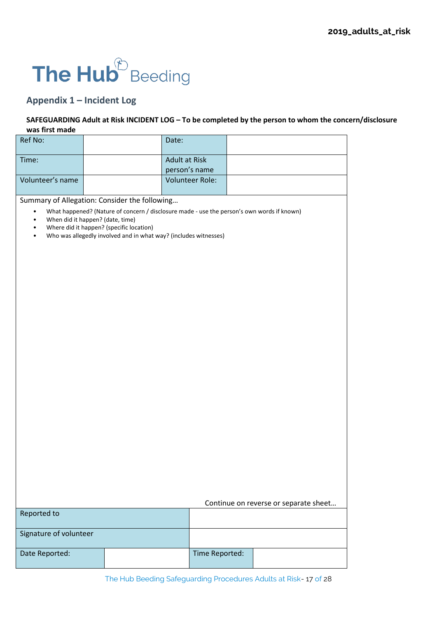# The Hub<sup>®</sup> Beeding

# **Appendix 1 – Incident Log**

# **SAFEGUARDING Adult at Risk INCIDENT LOG – To be completed by the person to whom the concern/disclosure was first made**

| Ref No:          |                                                                  | Date:                  |                                                                                            |  |
|------------------|------------------------------------------------------------------|------------------------|--------------------------------------------------------------------------------------------|--|
| Time:            |                                                                  | <b>Adult at Risk</b>   |                                                                                            |  |
|                  |                                                                  | person's name          |                                                                                            |  |
| Volunteer's name |                                                                  | <b>Volunteer Role:</b> |                                                                                            |  |
|                  |                                                                  |                        |                                                                                            |  |
|                  | Summary of Allegation: Consider the following                    |                        |                                                                                            |  |
| $\bullet$        |                                                                  |                        | What happened? (Nature of concern / disclosure made - use the person's own words if known) |  |
| $\bullet$        | When did it happen? (date, time)                                 |                        |                                                                                            |  |
| $\bullet$        | Where did it happen? (specific location)                         |                        |                                                                                            |  |
| $\bullet$        | Who was allegedly involved and in what way? (includes witnesses) |                        |                                                                                            |  |
|                  |                                                                  |                        |                                                                                            |  |
|                  |                                                                  |                        |                                                                                            |  |
|                  |                                                                  |                        |                                                                                            |  |
|                  |                                                                  |                        |                                                                                            |  |
|                  |                                                                  |                        |                                                                                            |  |
|                  |                                                                  |                        |                                                                                            |  |
|                  |                                                                  |                        |                                                                                            |  |
|                  |                                                                  |                        |                                                                                            |  |
|                  |                                                                  |                        |                                                                                            |  |
|                  |                                                                  |                        |                                                                                            |  |
|                  |                                                                  |                        |                                                                                            |  |
|                  |                                                                  |                        |                                                                                            |  |
|                  |                                                                  |                        |                                                                                            |  |
|                  |                                                                  |                        |                                                                                            |  |
|                  |                                                                  |                        |                                                                                            |  |
|                  |                                                                  |                        |                                                                                            |  |
|                  |                                                                  |                        |                                                                                            |  |
|                  |                                                                  |                        |                                                                                            |  |
|                  |                                                                  |                        |                                                                                            |  |
|                  |                                                                  |                        |                                                                                            |  |
|                  |                                                                  |                        |                                                                                            |  |
|                  |                                                                  |                        |                                                                                            |  |
|                  |                                                                  |                        |                                                                                            |  |
|                  |                                                                  |                        |                                                                                            |  |
|                  |                                                                  |                        |                                                                                            |  |
|                  |                                                                  |                        |                                                                                            |  |
|                  |                                                                  |                        |                                                                                            |  |
|                  |                                                                  |                        |                                                                                            |  |
|                  |                                                                  |                        |                                                                                            |  |
|                  |                                                                  |                        |                                                                                            |  |
|                  |                                                                  |                        | Continue on reverse or separate sheet                                                      |  |
| Reported to      |                                                                  |                        |                                                                                            |  |
|                  |                                                                  |                        |                                                                                            |  |
|                  | Signature of volunteer                                           |                        |                                                                                            |  |
|                  |                                                                  |                        |                                                                                            |  |
| Date Reported:   |                                                                  | Time Reported:         |                                                                                            |  |
|                  |                                                                  |                        |                                                                                            |  |
|                  |                                                                  |                        |                                                                                            |  |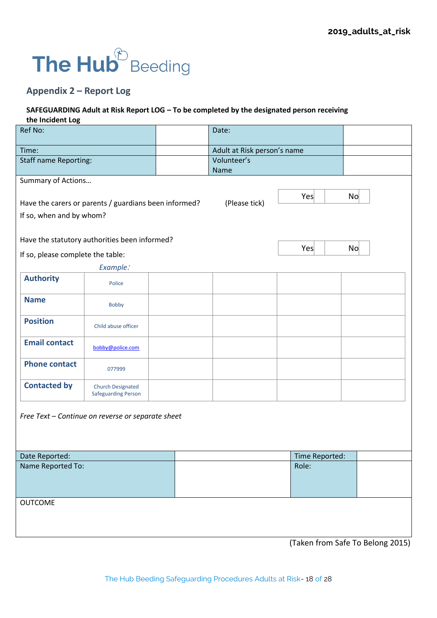# The Hub<sup><sup>2</sup> Beeding</sup>

# **Appendix 2 – Report Log**

# **SAFEGUARDING Adult at Risk Report LOG – To be completed by the designated person receiving the Incident Log**

| Ref No:                           |                                                        | Date:                       |                                  |    |
|-----------------------------------|--------------------------------------------------------|-----------------------------|----------------------------------|----|
| Time:                             |                                                        | Adult at Risk person's name |                                  |    |
| <b>Staff name Reporting:</b>      |                                                        | Volunteer's<br>Name         |                                  |    |
| Summary of Actions                | Have the carers or parents / guardians been informed?  | (Please tick)               | Yes                              | No |
| If so, when and by whom?          |                                                        |                             |                                  |    |
|                                   | Have the statutory authorities been informed?          |                             | Yes                              | No |
| If so, please complete the table: |                                                        |                             |                                  |    |
|                                   | Example:                                               |                             |                                  |    |
| <b>Authority</b>                  | Police                                                 |                             |                                  |    |
| <b>Name</b>                       | <b>Bobby</b>                                           |                             |                                  |    |
| <b>Position</b>                   | Child abuse officer                                    |                             |                                  |    |
| <b>Email contact</b>              | bobby@police.com                                       |                             |                                  |    |
| <b>Phone contact</b>              | 077999                                                 |                             |                                  |    |
| <b>Contacted by</b>               | <b>Church Designated</b><br><b>Safeguarding Person</b> |                             |                                  |    |
|                                   | Free Text - Continue on reverse or separate sheet      |                             |                                  |    |
| Date Reported:                    |                                                        |                             | Time Reported:                   |    |
| Name Reported To:                 |                                                        |                             | Role:                            |    |
| <b>OUTCOME</b>                    |                                                        |                             |                                  |    |
|                                   |                                                        |                             | (Taken from Safe To Belong 2015) |    |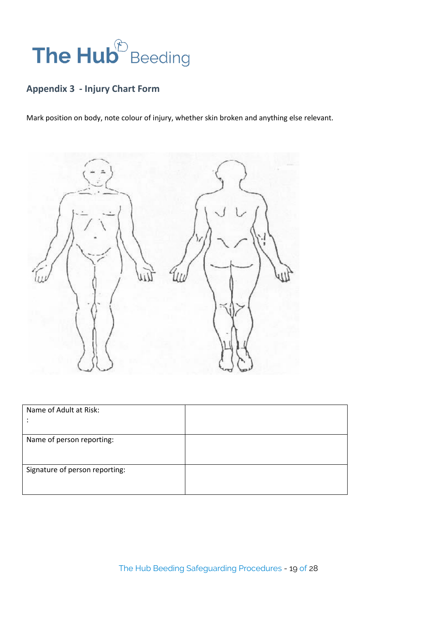# The Hub<sup>®</sup> Beeding

# **Appendix 3 - Injury Chart Form**

Mark position on body, note colour of injury, whether skin broken and anything else relevant.



| Name of Adult at Risk:         |  |
|--------------------------------|--|
| Name of person reporting:      |  |
| Signature of person reporting: |  |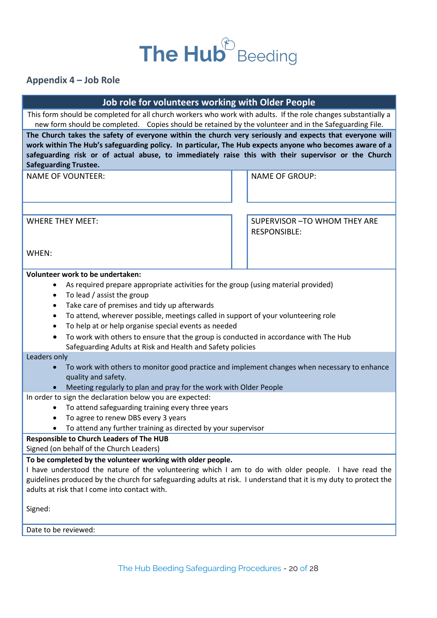# The Hub<sup>®</sup> Beeding

# **Appendix 4 – Job Role**

| Job role for volunteers working with Older People                                                                                                                                                                                                                                                                                                         |                                                                                                                                                    |                                                      |  |
|-----------------------------------------------------------------------------------------------------------------------------------------------------------------------------------------------------------------------------------------------------------------------------------------------------------------------------------------------------------|----------------------------------------------------------------------------------------------------------------------------------------------------|------------------------------------------------------|--|
| This form should be completed for all church workers who work with adults. If the role changes substantially a                                                                                                                                                                                                                                            |                                                                                                                                                    |                                                      |  |
| new form should be completed. Copies should be retained by the volunteer and in the Safeguarding File.                                                                                                                                                                                                                                                    |                                                                                                                                                    |                                                      |  |
| The Church takes the safety of everyone within the church very seriously and expects that everyone will<br>work within The Hub's safeguarding policy. In particular, The Hub expects anyone who becomes aware of a<br>safeguarding risk or of actual abuse, to immediately raise this with their supervisor or the Church<br><b>Safeguarding Trustee.</b> |                                                                                                                                                    |                                                      |  |
| <b>NAME OF VOUNTEER:</b>                                                                                                                                                                                                                                                                                                                                  |                                                                                                                                                    | <b>NAME OF GROUP:</b>                                |  |
|                                                                                                                                                                                                                                                                                                                                                           |                                                                                                                                                    |                                                      |  |
| <b>WHERE THEY MEET:</b>                                                                                                                                                                                                                                                                                                                                   |                                                                                                                                                    | SUPERVISOR - TO WHOM THEY ARE<br><b>RESPONSIBLE:</b> |  |
| WHEN:                                                                                                                                                                                                                                                                                                                                                     |                                                                                                                                                    |                                                      |  |
| Volunteer work to be undertaken:                                                                                                                                                                                                                                                                                                                          |                                                                                                                                                    |                                                      |  |
| As required prepare appropriate activities for the group (using material provided)                                                                                                                                                                                                                                                                        |                                                                                                                                                    |                                                      |  |
| To lead / assist the group<br>$\bullet$                                                                                                                                                                                                                                                                                                                   |                                                                                                                                                    |                                                      |  |
| Take care of premises and tidy up afterwards<br>$\bullet$                                                                                                                                                                                                                                                                                                 |                                                                                                                                                    |                                                      |  |
| To attend, wherever possible, meetings called in support of your volunteering role<br>٠                                                                                                                                                                                                                                                                   |                                                                                                                                                    |                                                      |  |
| To help at or help organise special events as needed                                                                                                                                                                                                                                                                                                      |                                                                                                                                                    |                                                      |  |
|                                                                                                                                                                                                                                                                                                                                                           | To work with others to ensure that the group is conducted in accordance with The Hub<br>Safeguarding Adults at Risk and Health and Safety policies |                                                      |  |
| Leaders only                                                                                                                                                                                                                                                                                                                                              |                                                                                                                                                    |                                                      |  |
| To work with others to monitor good practice and implement changes when necessary to enhance<br>quality and safety.                                                                                                                                                                                                                                       |                                                                                                                                                    |                                                      |  |
| Meeting regularly to plan and pray for the work with Older People                                                                                                                                                                                                                                                                                         |                                                                                                                                                    |                                                      |  |
| In order to sign the declaration below you are expected:<br>To attend safeguarding training every three years                                                                                                                                                                                                                                             |                                                                                                                                                    |                                                      |  |
|                                                                                                                                                                                                                                                                                                                                                           |                                                                                                                                                    |                                                      |  |
| To agree to renew DBS every 3 years<br>٠<br>To attend any further training as directed by your supervisor                                                                                                                                                                                                                                                 |                                                                                                                                                    |                                                      |  |
| <b>Responsible to Church Leaders of The HUB</b>                                                                                                                                                                                                                                                                                                           |                                                                                                                                                    |                                                      |  |
| Signed (on behalf of the Church Leaders)                                                                                                                                                                                                                                                                                                                  |                                                                                                                                                    |                                                      |  |
| To be completed by the volunteer working with older people.                                                                                                                                                                                                                                                                                               |                                                                                                                                                    |                                                      |  |
| I have understood the nature of the volunteering which I am to do with older people. I have read the                                                                                                                                                                                                                                                      |                                                                                                                                                    |                                                      |  |
| guidelines produced by the church for safeguarding adults at risk. I understand that it is my duty to protect the                                                                                                                                                                                                                                         |                                                                                                                                                    |                                                      |  |
| adults at risk that I come into contact with.                                                                                                                                                                                                                                                                                                             |                                                                                                                                                    |                                                      |  |
|                                                                                                                                                                                                                                                                                                                                                           |                                                                                                                                                    |                                                      |  |
| Signed:                                                                                                                                                                                                                                                                                                                                                   |                                                                                                                                                    |                                                      |  |
| Date to be reviewed:                                                                                                                                                                                                                                                                                                                                      |                                                                                                                                                    |                                                      |  |
|                                                                                                                                                                                                                                                                                                                                                           |                                                                                                                                                    |                                                      |  |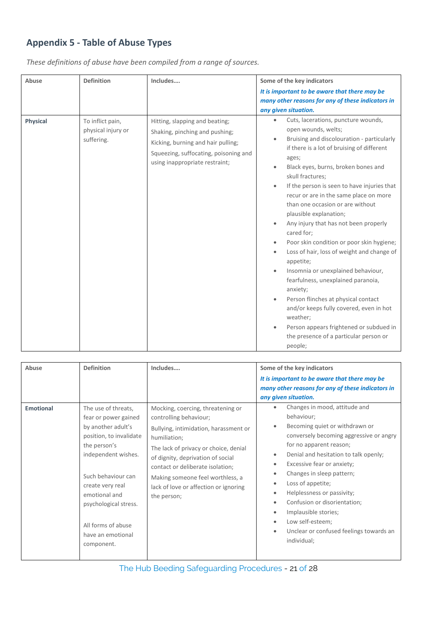# **Appendix 5 - Table of Abuse Types**

| Abuse           | <b>Definition</b>                                    | Includes                                                                                                                                                                          | Some of the key indicators                                                                                                                                                                                                                                                                                                                                                                                                                                                                                                                                                                                                                                                                                                                                                                                                             |
|-----------------|------------------------------------------------------|-----------------------------------------------------------------------------------------------------------------------------------------------------------------------------------|----------------------------------------------------------------------------------------------------------------------------------------------------------------------------------------------------------------------------------------------------------------------------------------------------------------------------------------------------------------------------------------------------------------------------------------------------------------------------------------------------------------------------------------------------------------------------------------------------------------------------------------------------------------------------------------------------------------------------------------------------------------------------------------------------------------------------------------|
|                 |                                                      |                                                                                                                                                                                   | It is important to be aware that there may be                                                                                                                                                                                                                                                                                                                                                                                                                                                                                                                                                                                                                                                                                                                                                                                          |
|                 |                                                      |                                                                                                                                                                                   | many other reasons for any of these indicators in                                                                                                                                                                                                                                                                                                                                                                                                                                                                                                                                                                                                                                                                                                                                                                                      |
|                 |                                                      |                                                                                                                                                                                   | any given situation.                                                                                                                                                                                                                                                                                                                                                                                                                                                                                                                                                                                                                                                                                                                                                                                                                   |
| <b>Physical</b> | To inflict pain,<br>physical injury or<br>suffering. | Hitting, slapping and beating;<br>Shaking, pinching and pushing;<br>Kicking, burning and hair pulling;<br>Squeezing, suffocating, poisoning and<br>using inappropriate restraint; | Cuts, lacerations, puncture wounds,<br>open wounds, welts;<br>Bruising and discolouration - particularly<br>if there is a lot of bruising of different<br>ages;<br>Black eyes, burns, broken bones and<br>skull fractures;<br>If the person is seen to have injuries that<br>recur or are in the same place on more<br>than one occasion or are without<br>plausible explanation;<br>Any injury that has not been properly<br>cared for;<br>Poor skin condition or poor skin hygiene;<br>Loss of hair, loss of weight and change of<br>appetite;<br>Insomnia or unexplained behaviour,<br>fearfulness, unexplained paranoia,<br>anxiety;<br>Person flinches at physical contact<br>and/or keeps fully covered, even in hot<br>weather:<br>Person appears frightened or subdued in<br>the presence of a particular person or<br>people; |

*These definitions of abuse have been compiled from a range of sources.*

| Abuse            | <b>Definition</b>                                                                                                                                                                                                                                                                | Includes                                                                                                                                                                                                                                                                                                                           | Some of the key indicators<br>It is important to be aware that there may be<br>many other reasons for any of these indicators in<br>any given situation.                                                                                                                                                                                                                                                                                                           |
|------------------|----------------------------------------------------------------------------------------------------------------------------------------------------------------------------------------------------------------------------------------------------------------------------------|------------------------------------------------------------------------------------------------------------------------------------------------------------------------------------------------------------------------------------------------------------------------------------------------------------------------------------|--------------------------------------------------------------------------------------------------------------------------------------------------------------------------------------------------------------------------------------------------------------------------------------------------------------------------------------------------------------------------------------------------------------------------------------------------------------------|
| <b>Emotional</b> | The use of threats,<br>fear or power gained<br>by another adult's<br>position, to invalidate<br>the person's<br>independent wishes.<br>Such behaviour can<br>create very real<br>emotional and<br>psychological stress.<br>All forms of abuse<br>have an emotional<br>component. | Mocking, coercing, threatening or<br>controlling behaviour;<br>Bullying, intimidation, harassment or<br>humiliation;<br>The lack of privacy or choice, denial<br>of dignity, deprivation of social<br>contact or deliberate isolation;<br>Making someone feel worthless, a<br>lack of love or affection or ignoring<br>the person; | Changes in mood, attitude and<br>behaviour;<br>Becoming quiet or withdrawn or<br>conversely becoming aggressive or angry<br>for no apparent reason;<br>Denial and hesitation to talk openly;<br>$\bullet$<br>Excessive fear or anxiety;<br>Changes in sleep pattern;<br>۰<br>Loss of appetite;<br>Helplessness or passivity;<br>Confusion or disorientation;<br>Implausible stories;<br>Low self-esteem;<br>Unclear or confused feelings towards an<br>individual; |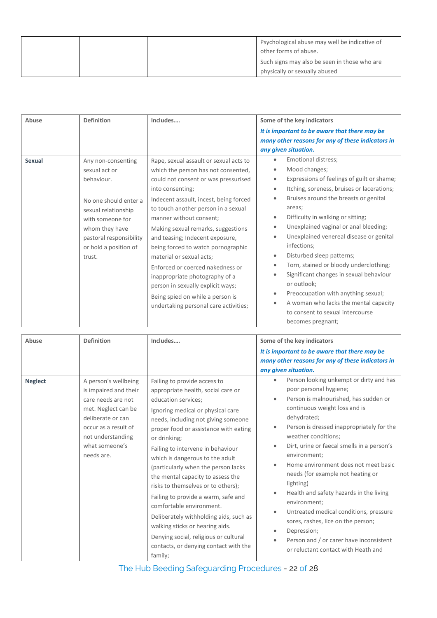|  | Psychological abuse may well be indicative of<br>other forms of abuse.        |
|--|-------------------------------------------------------------------------------|
|  | Such signs may also be seen in those who are<br>physically or sexually abused |

| Abuse         | <b>Definition</b>                                                                                                                                                                                     | Includes                                                                                                                                                                                                                                                                                                                                                                                                                                                                                                                                                                                 | Some of the key indicators                                                                                                                                                                                                                                                                                                                                                                                                                                                                                                                                                                                                                   |
|---------------|-------------------------------------------------------------------------------------------------------------------------------------------------------------------------------------------------------|------------------------------------------------------------------------------------------------------------------------------------------------------------------------------------------------------------------------------------------------------------------------------------------------------------------------------------------------------------------------------------------------------------------------------------------------------------------------------------------------------------------------------------------------------------------------------------------|----------------------------------------------------------------------------------------------------------------------------------------------------------------------------------------------------------------------------------------------------------------------------------------------------------------------------------------------------------------------------------------------------------------------------------------------------------------------------------------------------------------------------------------------------------------------------------------------------------------------------------------------|
|               |                                                                                                                                                                                                       |                                                                                                                                                                                                                                                                                                                                                                                                                                                                                                                                                                                          | It is important to be aware that there may be                                                                                                                                                                                                                                                                                                                                                                                                                                                                                                                                                                                                |
|               |                                                                                                                                                                                                       |                                                                                                                                                                                                                                                                                                                                                                                                                                                                                                                                                                                          | many other reasons for any of these indicators in<br>any given situation.                                                                                                                                                                                                                                                                                                                                                                                                                                                                                                                                                                    |
| <b>Sexual</b> | Any non-consenting<br>sexual act or<br>behaviour.<br>No one should enter a<br>sexual relationship<br>with someone for<br>whom they have<br>pastoral responsibility<br>or hold a position of<br>trust. | Rape, sexual assault or sexual acts to<br>which the person has not consented,<br>could not consent or was pressurised<br>into consenting;<br>Indecent assault, incest, being forced<br>to touch another person in a sexual<br>manner without consent:<br>Making sexual remarks, suggestions<br>and teasing; Indecent exposure,<br>being forced to watch pornographic<br>material or sexual acts;<br>Enforced or coerced nakedness or<br>inappropriate photography of a<br>person in sexually explicit ways;<br>Being spied on while a person is<br>undertaking personal care activities; | Emotional distress;<br>Mood changes;<br>Expressions of feelings of guilt or shame;<br>Itching, soreness, bruises or lacerations;<br>$\bullet$<br>Bruises around the breasts or genital<br>areas;<br>Difficulty in walking or sitting;<br>$\bullet$<br>Unexplained vaginal or anal bleeding;<br>Unexplained venereal disease or genital<br>infections;<br>Disturbed sleep patterns;<br>$\bullet$<br>Torn, stained or bloody underclothing;<br>Significant changes in sexual behaviour<br>or outlook;<br>Preoccupation with anything sexual;<br>A woman who lacks the mental capacity<br>to consent to sexual intercourse<br>becomes pregnant; |

| Abuse          | <b>Definition</b>                                                                                                                                                                            | Includes                                                                                                                                                                                                                                                                                                                                                                                                                                                                                                                                                                                                                                                              | Some of the key indicators<br>It is important to be aware that there may be<br>many other reasons for any of these indicators in<br>any given situation.                                                                                                                                                                                                                                                                                                                                                                                                                                                                                                                               |
|----------------|----------------------------------------------------------------------------------------------------------------------------------------------------------------------------------------------|-----------------------------------------------------------------------------------------------------------------------------------------------------------------------------------------------------------------------------------------------------------------------------------------------------------------------------------------------------------------------------------------------------------------------------------------------------------------------------------------------------------------------------------------------------------------------------------------------------------------------------------------------------------------------|----------------------------------------------------------------------------------------------------------------------------------------------------------------------------------------------------------------------------------------------------------------------------------------------------------------------------------------------------------------------------------------------------------------------------------------------------------------------------------------------------------------------------------------------------------------------------------------------------------------------------------------------------------------------------------------|
| <b>Neglect</b> | A person's wellbeing<br>is impaired and their<br>care needs are not<br>met. Neglect can be<br>deliberate or can<br>occur as a result of<br>not understanding<br>what someone's<br>needs are. | Failing to provide access to<br>appropriate health, social care or<br>education services;<br>Ignoring medical or physical care<br>needs, including not giving someone<br>proper food or assistance with eating<br>or drinking;<br>Failing to intervene in behaviour<br>which is dangerous to the adult<br>(particularly when the person lacks<br>the mental capacity to assess the<br>risks to themselves or to others);<br>Failing to provide a warm, safe and<br>comfortable environment.<br>Deliberately withholding aids, such as<br>walking sticks or hearing aids.<br>Denying social, religious or cultural<br>contacts, or denying contact with the<br>family; | Person looking unkempt or dirty and has<br>$\bullet$<br>poor personal hygiene;<br>Person is malnourished, has sudden or<br>$\bullet$<br>continuous weight loss and is<br>dehydrated;<br>Person is dressed inappropriately for the<br>$\bullet$<br>weather conditions;<br>Dirt, urine or faecal smells in a person's<br>environment;<br>Home environment does not meet basic<br>needs (for example not heating or<br>lighting)<br>Health and safety hazards in the living<br>environment:<br>Untreated medical conditions, pressure<br>sores, rashes, lice on the person;<br>Depression;<br>Person and / or carer have inconsistent<br>$\bullet$<br>or reluctant contact with Heath and |

The Hub Beeding Safeguarding Procedures - 22 of 28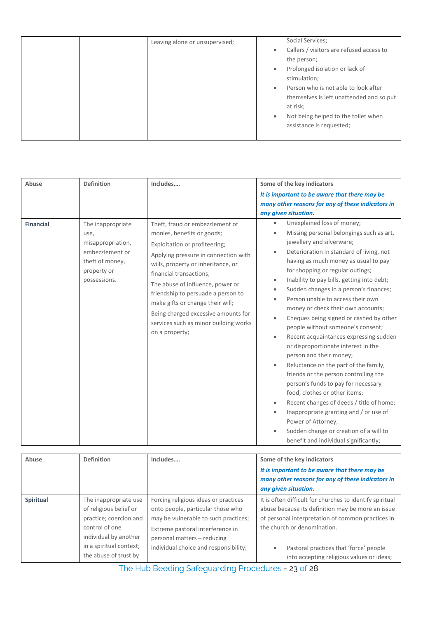| Social Services;<br>Leaving alone or unsupervised;<br>Callers / visitors are refused access to<br>$\bullet$<br>the person;<br>Prolonged isolation or lack of<br>$\bullet$<br>stimulation;<br>Person who is not able to look after<br>$\bullet$<br>themselves is left unattended and so put |
|--------------------------------------------------------------------------------------------------------------------------------------------------------------------------------------------------------------------------------------------------------------------------------------------|
| at risk;<br>Not being helped to the toilet when<br>$\bullet$<br>assistance is requested;                                                                                                                                                                                                   |

| Abuse            | <b>Definition</b>                                                                                                   | Includes                                                                                                                                                                                                                                                                                                                                                                                                                | Some of the key indicators                                                                                                                                                                                                                                                                                                                                                                                                                                                                                                                                                                                                                                                                                                                                                                                                                                                                                                                                                                              |
|------------------|---------------------------------------------------------------------------------------------------------------------|-------------------------------------------------------------------------------------------------------------------------------------------------------------------------------------------------------------------------------------------------------------------------------------------------------------------------------------------------------------------------------------------------------------------------|---------------------------------------------------------------------------------------------------------------------------------------------------------------------------------------------------------------------------------------------------------------------------------------------------------------------------------------------------------------------------------------------------------------------------------------------------------------------------------------------------------------------------------------------------------------------------------------------------------------------------------------------------------------------------------------------------------------------------------------------------------------------------------------------------------------------------------------------------------------------------------------------------------------------------------------------------------------------------------------------------------|
|                  |                                                                                                                     |                                                                                                                                                                                                                                                                                                                                                                                                                         | It is important to be aware that there may be<br>many other reasons for any of these indicators in<br>any given situation.                                                                                                                                                                                                                                                                                                                                                                                                                                                                                                                                                                                                                                                                                                                                                                                                                                                                              |
| <b>Financial</b> | The inappropriate<br>use,<br>misappropriation,<br>embezzlement or<br>theft of money,<br>property or<br>possessions. | Theft, fraud or embezzlement of<br>monies, benefits or goods;<br>Exploitation or profiteering;<br>Applying pressure in connection with<br>wills, property or inheritance, or<br>financial transactions;<br>The abuse of influence, power or<br>friendship to persuade a person to<br>make gifts or change their will;<br>Being charged excessive amounts for<br>services such as minor building works<br>on a property; | Unexplained loss of money;<br>$\bullet$<br>Missing personal belongings such as art,<br>jewellery and silverware;<br>Deterioration in standard of living, not<br>$\bullet$<br>having as much money as usual to pay<br>for shopping or regular outings;<br>Inability to pay bills, getting into debt;<br>$\bullet$<br>Sudden changes in a person's finances;<br>Person unable to access their own<br>money or check their own accounts;<br>Cheques being signed or cashed by other<br>people without someone's consent;<br>Recent acquaintances expressing sudden<br>or disproportionate interest in the<br>person and their money;<br>Reluctance on the part of the family,<br>$\bullet$<br>friends or the person controlling the<br>person's funds to pay for necessary<br>food, clothes or other items;<br>Recent changes of deeds / title of home;<br>Inappropriate granting and / or use of<br>Power of Attorney;<br>Sudden change or creation of a will to<br>benefit and individual significantly; |

| Abuse     | <b>Definition</b>                                                                                                                                                        | Includes                                                                                                                                                                                                                      | Some of the key indicators<br>It is important to be aware that there may be<br>many other reasons for any of these indicators in<br>any given situation.                                                                                                                                 |
|-----------|--------------------------------------------------------------------------------------------------------------------------------------------------------------------------|-------------------------------------------------------------------------------------------------------------------------------------------------------------------------------------------------------------------------------|------------------------------------------------------------------------------------------------------------------------------------------------------------------------------------------------------------------------------------------------------------------------------------------|
| Spiritual | The inappropriate use<br>of religious belief or<br>practice; coercion and<br>control of one<br>individual by another<br>in a spiritual context;<br>the abuse of trust by | Forcing religious ideas or practices<br>onto people, particular those who<br>may be vulnerable to such practices;<br>Extreme pastoral interference in<br>personal matters - reducing<br>individual choice and responsibility; | It is often difficult for churches to identify spiritual<br>abuse because its definition may be more an issue<br>of personal interpretation of common practices in<br>the church or denomination.<br>Pastoral practices that 'force' people<br>into accepting religious values or ideas; |

The Hub Beeding Safeguarding Procedures - 23 of 28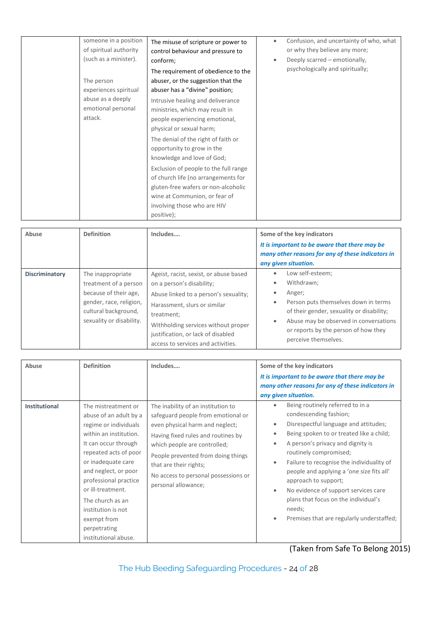| someone in a position<br>of spiritual authority<br>(such as a minister).<br>The person<br>experiences spiritual<br>abuse as a deeply<br>emotional personal<br>attack. | The misuse of scripture or power to<br>control behaviour and pressure to<br>conform;<br>The requirement of obedience to the<br>abuser, or the suggestion that the<br>abuser has a "divine" position;<br>Intrusive healing and deliverance<br>ministries, which may result in<br>people experiencing emotional,<br>physical or sexual harm;<br>The denial of the right of faith or<br>opportunity to grow in the<br>knowledge and love of God;<br>Exclusion of people to the full range<br>of church life (no arrangements for<br>gluten-free wafers or non-alcoholic<br>wine at Communion, or fear of<br>involving those who are HIV<br>positive); | Confusion, and uncertainty of who, what<br>or why they believe any more;<br>Deeply scarred – emotionally,<br>$\bullet$<br>psychologically and spiritually; |
|-----------------------------------------------------------------------------------------------------------------------------------------------------------------------|----------------------------------------------------------------------------------------------------------------------------------------------------------------------------------------------------------------------------------------------------------------------------------------------------------------------------------------------------------------------------------------------------------------------------------------------------------------------------------------------------------------------------------------------------------------------------------------------------------------------------------------------------|------------------------------------------------------------------------------------------------------------------------------------------------------------|
|-----------------------------------------------------------------------------------------------------------------------------------------------------------------------|----------------------------------------------------------------------------------------------------------------------------------------------------------------------------------------------------------------------------------------------------------------------------------------------------------------------------------------------------------------------------------------------------------------------------------------------------------------------------------------------------------------------------------------------------------------------------------------------------------------------------------------------------|------------------------------------------------------------------------------------------------------------------------------------------------------------|

| Abuse          | <b>Definition</b>                                                                                                                                  | Includes                                                                                                                                                                                                                                                                      | Some of the key indicators<br>It is important to be aware that there may be<br>many other reasons for any of these indicators in<br>any given situation.                                                                                                                                 |
|----------------|----------------------------------------------------------------------------------------------------------------------------------------------------|-------------------------------------------------------------------------------------------------------------------------------------------------------------------------------------------------------------------------------------------------------------------------------|------------------------------------------------------------------------------------------------------------------------------------------------------------------------------------------------------------------------------------------------------------------------------------------|
| Discriminatory | The inappropriate<br>treatment of a person<br>because of their age,<br>gender, race, religion,<br>cultural background,<br>sexuality or disability. | Ageist, racist, sexist, or abuse based<br>on a person's disability;<br>Abuse linked to a person's sexuality;<br>Harassment, slurs or similar<br>treatment;<br>Withholding services without proper<br>justification, or lack of disabled<br>access to services and activities. | Low self-esteem;<br>$\bullet$<br>Withdrawn;<br>۰<br>Anger;<br>$\bullet$<br>Person puts themselves down in terms<br>۰<br>of their gender, sexuality or disability;<br>Abuse may be observed in conversations<br>$\bullet$<br>or reports by the person of how they<br>perceive themselves. |

| Abuse                | <b>Definition</b>                                                                                                                                                                                                                                                                                                                              | Includes                                                                                                                                                                                                                                                                                                         | Some of the key indicators<br>It is important to be aware that there may be<br>many other reasons for any of these indicators in<br>any given situation.                                                                                                                                                                                                                                                                                                                                            |
|----------------------|------------------------------------------------------------------------------------------------------------------------------------------------------------------------------------------------------------------------------------------------------------------------------------------------------------------------------------------------|------------------------------------------------------------------------------------------------------------------------------------------------------------------------------------------------------------------------------------------------------------------------------------------------------------------|-----------------------------------------------------------------------------------------------------------------------------------------------------------------------------------------------------------------------------------------------------------------------------------------------------------------------------------------------------------------------------------------------------------------------------------------------------------------------------------------------------|
| <b>Institutional</b> | The mistreatment or<br>abuse of an adult by a<br>regime or individuals<br>within an institution.<br>It can occur through<br>repeated acts of poor<br>or inadequate care<br>and neglect, or poor<br>professional practice<br>or ill-treatment.<br>The church as an<br>institution is not<br>exempt from<br>perpetrating<br>institutional abuse. | The inability of an institution to<br>safeguard people from emotional or<br>even physical harm and neglect;<br>Having fixed rules and routines by<br>which people are controlled;<br>People prevented from doing things<br>that are their rights;<br>No access to personal possessions or<br>personal allowance; | Being routinely referred to in a<br>$\bullet$<br>condescending fashion;<br>Disrespectful language and attitudes;<br>Being spoken to or treated like a child;<br>۰<br>A person's privacy and dignity is<br>۰<br>routinely compromised;<br>Failure to recognise the individuality of<br>۰<br>people and applying a 'one size fits all'<br>approach to support;<br>No evidence of support services care<br>plans that focus on the individual's<br>needs;<br>Premises that are regularly understaffed; |

(Taken from Safe To Belong 2015)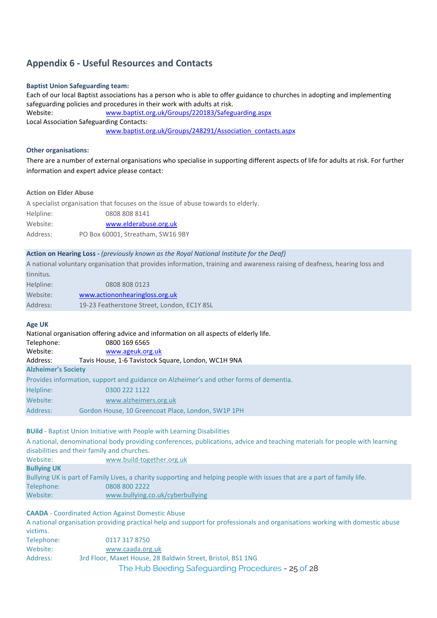# **Appendix 6 - Useful Resources and Contacts**

#### **Baptist Union Safeguarding team:**

Each of our local Baptist associations has a person who is able to offer guidance to churches in adopting and implementing safeguarding policies and procedures in their work with adults at risk. Website: [www.baptist.org.uk/Groups/220183/Safeguarding.aspx](http://www.baptist.org.uk/Groups/220183/Safeguarding.aspx)  Local Association Safeguarding Contacts: [www.baptist.org.uk/Groups/248291/Association\\_contacts.aspx](http://www.baptist.org.uk/Groups/248291/Association_contacts.aspx) 

#### **Other organisations:**

There are a number of external organisations who specialise in supporting different aspects of life for adults at risk. For further information and expert advice please contact:

#### **Action on Elder Abuse**

A specialist organisation that focuses on the issue of abuse towards to elderly. Helpline: 0808 808 8141 Website: [www.elderabuse.org.uk](http://www.elderabuse.org.uk/) Address: PO Box 60001, Streatham, SW16 9BY

# **Action on Hearing Loss -** *(previously known as the Royal National Institute for the Deaf)*

A national voluntary organisation that provides information, training and awareness raising of deafness, hearing loss and tinnitus.

| Helpline: | 0808 808 0123                               |
|-----------|---------------------------------------------|
| Website:  | www.actiononhearingloss.org.uk              |
| Address:  | 19-23 Featherstone Street, London, EC1Y 8SL |

# **Age UK**

National organisation offering advice and information on all aspects of elderly life. Telephone: 0800 169 6565 Website: [www.ageuk.org.uk](http://www.ageuk.org.uk/) Address: Tavis House, 1-6 Tavistock Square, London, WC1H 9NA **Alzheimer's Society** Provides information, support and guidance on Alzheimer's and other forms of dementia. Helpline: 0300 222 1122 Website: [www.alzheimers.org.uk](http://www.alzheimers.org.uk/) Address: Gordon House, 10 Greencoat Place, London, SW1P 1PH

# **BUild** - Baptist Union Initiative with People with Learning Disabilities

A national, denominational body providing conferences, publications, advice and teaching materials for people with learning disabilities and their family and churches. Website: [www.build-together.org.uk](http://www.build-together.org.uk/) **Bullying UK** Bullying UK is part of Family Lives, a charity supporting and helping people with issues that are a part of family life. Telephone: 0808 800 2222 Website: [www.bullying.co.uk/cyberbullying](http://www.bullying.co.uk/cyberbullying)

**CAADA** - Coordinated Action Against Domestic Abuse A national organisation providing practical help and support for professionals and organisations working with domestic abuse victims. Telephone: 0117 317 8750 Website: [www.caada.org.uk](http://www.caada.org.uk/) Address: 3rd Floor, Maxet House, 28 Baldwin Street, Bristol, BS1 1NG

The Hub Beeding Safeguarding Procedures - 25 of 28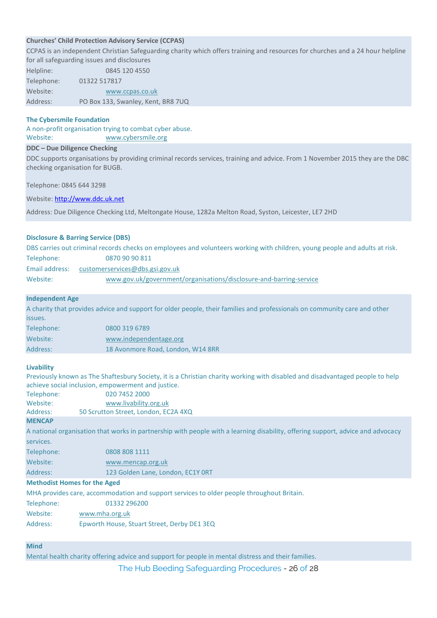# **Churches' Child Protection Advisory Service (CCPAS)**

CCPAS is an independent Christian Safeguarding charity which offers training and resources for churches and a 24 hour helpline

|            | for all safeguarding issues and disclosures |
|------------|---------------------------------------------|
| Helpline:  | 0845 120 4550                               |
| Telephone: | 01322 517817                                |
| Website:   | www.ccpas.co.uk                             |
| Address:   | PO Box 133, Swanley, Kent, BR8 7UQ          |

#### **The Cybersmile Foundation**

A non-profit organisation trying to combat cyber abuse.

Website: [www.cybersmile.org](http://www.cybersmile.org/)

# **DDC – Due Diligence Checking**

DDC supports organisations by providing criminal records services, training and advice. From 1 November 2015 they are the DBC checking organisation for BUGB.

Telephone: 0845 644 3298

Website[: http://www.ddc.uk.net](http://www.ddc.uk.net/)

Address: Due Diligence Checking Ltd, Meltongate House, 1282a Melton Road, Syston, Leicester, LE7 2HD

#### **Disclosure & Barring Service (DBS)**

DBS carries out criminal records checks on employees and volunteers working with children, young people and adults at risk.

| Telephone:     | 0870 90 90 811                                                     |
|----------------|--------------------------------------------------------------------|
| Email address: | customerservices@dbs.gsi.gov.uk                                    |
| Website:       | www.gov.uk/government/organisations/disclosure-and-barring-service |

#### **Independent Age**

A charity that provides advice and support for older people, their families and professionals on community care and other issues.

| 0800 319 6789                     |
|-----------------------------------|
| www.independentage.org            |
| 18 Avonmore Road, London, W14 8RR |
|                                   |

#### **Livability**

Previously known as The Shaftesbury Society, it is a Christian charity working with disabled and disadvantaged people to help achieve social inclusion, empowerment and justice.

| Telephone: | 020 7452 2000                        |
|------------|--------------------------------------|
| Website:   | www.livability.org.uk                |
| Address:   | 50 Scrutton Street, London, EC2A 4XQ |
|            |                                      |

#### **MENCAP**

A national organisation that works in partnership with people with a learning disability, offering support, advice and advocacy

| services.  |                                   |
|------------|-----------------------------------|
| Telephone: | 0808 808 1111                     |
| Website:   | www.mencap.org.uk                 |
| Address:   | 123 Golden Lane, London, EC1Y ORT |
|            |                                   |

#### **Methodist Homes for the Aged**

MHA provides care, accommodation and support services to older people throughout Britain.

| Telephone: | 01332 296200 |
|------------|--------------|
|            |              |

Website: [www.mha.org.uk](http://www.mha.org.uk/)

Address: Epworth House, Stuart Street, Derby DE1 3EQ

# **Mind**

Mental health charity offering advice and support for people in mental distress and their families.

The Hub Beeding Safeguarding Procedures - 26 of 28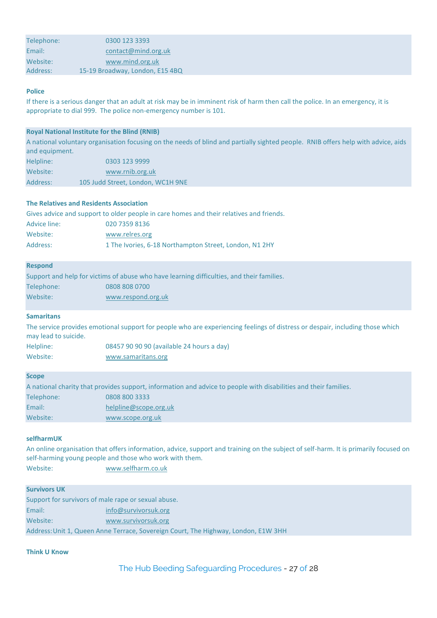| Telephone: | 0300 123 3393                   |  |
|------------|---------------------------------|--|
| Email:     | contact@mind.org.uk             |  |
| Website:   | www.mind.org.uk                 |  |
| Address:   | 15-19 Broadway, London, E15 4BQ |  |

# **Police**

If there is a serious danger that an adult at risk may be in imminent risk of harm then call the police. In an emergency, it is appropriate to dial 999. The police non-emergency number is 101.

# **Royal National Institute for the Blind (RNIB)**

A national voluntary organisation focusing on the needs of blind and partially sighted people. RNIB offers help with advice, aids and equipment.

| Helpline: | 0303 123 9999                     |
|-----------|-----------------------------------|
| Website:  | www.rnib.org.uk                   |
| Address:  | 105 Judd Street, London, WC1H 9NE |

#### **The Relatives and Residents Association**

|              | Gives advice and support to older people in care homes and their relatives and friends. |
|--------------|-----------------------------------------------------------------------------------------|
| Advice line: | 020 7359 8136                                                                           |
| Website:     | www.relres.org                                                                          |
| Address:     | 1 The Ivories, 6-18 Northampton Street, London, N1 2HY                                  |

#### **Respond**

|            | Support and help for victims of abuse who have learning difficulties, and their families. |
|------------|-------------------------------------------------------------------------------------------|
| Telephone: | 0808 808 0700                                                                             |
| Website:   | www.respond.org.uk                                                                        |

# **Samaritans**

The service provides emotional support for people who are experiencing feelings of distress or despair, including those which may lead to suicide. Helpline: 08457 90 90 90 (available 24 hours a day)

Website: [www.samaritans.org](http://www.samaritans.org/)

# **Scope**

|            | A national charity that provides support, information and advice to people with disabilities and their families. |
|------------|------------------------------------------------------------------------------------------------------------------|
| Telephone: | 0808 800 3333                                                                                                    |
| Email:     | helpline@scope.org.uk                                                                                            |
| Website:   | www.scope.org.uk                                                                                                 |

#### **selfharmUK**

An online organisation that offers information, advice, support and training on the subject of self-harm. It is primarily focused on self-harming young people and those who work with them. Website: [www.selfharm.co.uk](http://www.selfharm.co.uk/)

# **Survivors UK**

| Support for survivors of male rape or sexual abuse. |                                                                                    |
|-----------------------------------------------------|------------------------------------------------------------------------------------|
| Email:                                              | info@survivorsuk.org                                                               |
| Website:                                            | www.survivorsuk.org                                                                |
|                                                     | Address: Unit 1, Queen Anne Terrace, Sovereign Court, The Highway, London, E1W 3HH |

# **Think U Know**